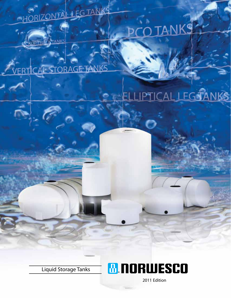# HORIZONTAL LEGTANKS



## **TANKS**

**STORAGE TANKS** 



Liquid Storage Tanks



2011 Edition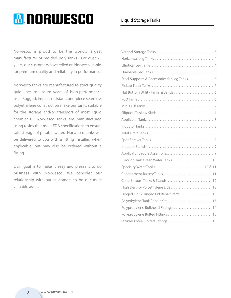### **M.NORWESCO**

Norwesco is proud to be the world's largest manufacturer of molded poly tanks. For over 25 years, our customers have relied on Norwesco tanks for premium quality and reliability in performance.

Norwesco tanks are manufactured to strict quality guidelines to ensure years of high-performance use. Rugged, impact-resistant, one-piece seamless polyethylene construction make our tanks suitable for the storage and/or transport of most liquid chemicals. Norwesco tanks are manufactured using resins that meet FDA specifications to ensure safe storage of potable water. Norwesco tanks will be delivered to you with a fitting installed when applicable, but may also be ordered without a fitting.

Our goal is to make it easy and pleasant to do business with Norwesco. We consider our relationship with our customers to be our most valuable asset.

#### Liquid Storage Tanks

| Steel Supports & Accessories for Leg Tanks 5 |
|----------------------------------------------|
|                                              |
|                                              |
|                                              |
|                                              |
|                                              |
|                                              |
|                                              |
|                                              |
|                                              |
|                                              |
|                                              |
| Black or Dark Green Water Tanks  10          |
| Specialty Water Tanks 10 & 11                |
| Containment Basins/Tanks 11                  |
|                                              |
| High Density Polyethylene Lids  13           |
| Hinged Lid & Hinged Lid Repair Parts  13     |
| Polyethylene Tank Repair Kits  13            |
| Polypropylene Bulkhead Fittings 14           |
| Polypropylene Bolted Fittings 15             |
| Stainless Steel Bolted Fittings 15           |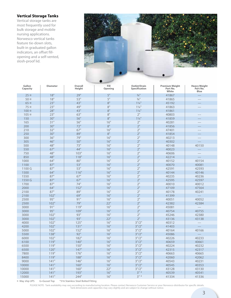#### **Vertical Storage Tanks**

Vertical storage tanks are most frequently used for bulk storage and mobile nursing applications. Norwesco vertical tanks feature tie-down slots, built-in graduated gallon indicators, an offset fillopening and a self-vented, slosh-proof lid.



| Gallon<br>Capacity | <b>Diameter</b> | Overall<br><b>Height</b> | Fill<br>Opening | <b>Outlet/Drain</b><br><b>Specification</b> | <b>Premium Weight</b><br>Part No.<br>White | <b>Heavy Weight</b><br>Part No.<br>Blue |
|--------------------|-----------------|--------------------------|-----------------|---------------------------------------------|--------------------------------------------|-----------------------------------------|
| $25 \times$        | 18"             | 29"                      | $5"$            | $3/4$ <sup>11</sup>                         | 41867                                      |                                         |
| $50 \times$        | 18"             | 53"                      | 5"              | $\frac{3}{4}$ <sup>11</sup>                 | 41865                                      |                                         |
| $65 \times$        | 23"             | 43"                      | 8"              | $1\frac{1}{4}$                              | 45192                                      |                                         |
| 75 ¤               | 23"             | 49"                      | 8"              | $1\frac{1}{4}$                              | 41863                                      |                                         |
| $100 \times$       | 28"             | 43"                      | 8"              | $1\frac{1}{4}$                              | 41861                                      |                                         |
| $105 \times$       | 23"             | 63"                      | $8"$            | 2"                                          | 40803                                      |                                         |
| 150                | 30"             | 56"                      | 8"              | $1\frac{1}{4}$                              | 41859                                      |                                         |
| 165                | 31"             | 56"                      | 16"             | 2 <sup>''</sup>                             | 40281                                      |                                         |
| 200                | 30"             | 72"                      | $8"$            | 2"                                          | 41856                                      |                                         |
| 210                | 32"             | 67"                      | 16"             | 2"                                          | 47401                                      |                                         |
| 250                | 30"             | 89"                      | 8"              | 2"                                          | 41854                                      |                                         |
| 300                | 36"             | 79"                      | 16"             | 2"                                          | 40213                                      |                                         |
| 305                | 46"             | 50"                      | 16"             | $2"$                                        | 40302                                      |                                         |
| 500                | 48"             | 73"                      | 16"             | 2 <sup>''</sup>                             | 40148                                      | 40150                                   |
| 550                | 67"             | 44"                      | 16"             | 2"                                          | 40023                                      |                                         |
| 750                | 48"             | 103"                     | 16"             | 2"                                          | 40606                                      |                                         |
| 850                | 48"             | 118"                     | 16"             | 2"                                          | 42214                                      |                                         |
| 1000               | 64"             | 80"                      | 16"             | 2"                                          | 40152                                      | 40154                                   |
| 1100               | 87"             | 53"                      | 16"             | 2 <sup>''</sup>                             | 40070                                      | 40081                                   |
| 1100 G             | 87"             | 53"                      | 16"             | 2 <sup>''</sup>                             | 42591                                      | 42593                                   |
| 1500               | 64"             | 116"                     | 16"             | 2"                                          | 40144                                      | 40146                                   |
| 1550               | 87"             | 67"                      | 16"             | 2"                                          | 40235                                      | 40236                                   |
| 1550 G             | 87"             | 67"                      | 16"             | 2"                                          | 42595                                      | 42597                                   |
| 1700               | 87"             | 74"                      | 16"             | 2"                                          | 40010                                      | 40012                                   |
| 2000               | 64"             | 152"                     | 16"             | 2 <sup>''</sup>                             | 47109                                      | 47564                                   |
| 2100               | 87"             | 89"                      | 16"             | 2"                                          | 40178                                      | 40241                                   |
| 2100               | 102"            | 69"                      | 16"             | 2 <sup>''</sup>                             | 41399                                      |                                         |
| 2500               | 95"             | 91"                      | 16"             | 2 <sup>''</sup>                             | 40051                                      | 40052                                   |
| 2500               | 102"            | 79"                      | 22"             | 2"                                          | 42382                                      | 42384                                   |
| 3000               | 91"             | 119"                     | 16"             | 2"                                          | 45081                                      |                                         |
| 3000               | 95"             | 109"                     | 16"             | 2"                                          | 40754                                      | 40755                                   |
| 3000               | 102"            | 93"                      | 16"             | 2 <sup>11</sup>                             | 45246                                      | 42380                                   |
| 3000               | 102"            | 93"                      | 22"             | 2"                                          | 43136                                      | 43138                                   |
| 4000               | 102"            | 125"                     | 16"             | 3''/2''                                     | 40312                                      |                                         |
| 4200               | 102"            | 131"                     | 16"             | 3" / 2"                                     | 41403                                      |                                         |
| 5000               | 102"            | 152"                     | 16"             | 3''/2''                                     | 40164                                      | 40166                                   |
| 5500               | 138"            | 92"                      | 16"             | 3" / 2"                                     | 45086                                      |                                         |
| 6000               | 102"            | 182"                     | 16"             | 3" / 2"                                     | 40226                                      | 40233                                   |
| 6100               | 119"            | 140"                     | 16"             | 3" / 2"                                     | 40659                                      | 40661                                   |
| 6500               | 119"            | 150"                     | 16"             | 3''/2''                                     | 40224                                      | 40232                                   |
| 6500               | 120"            | 147"                     | 16"             | 3''/2''                                     | 42315                                      | 42317                                   |
| 7800               | 119"            | 176"                     | 16"             | 3''/2''                                     | 40663                                      | 40665                                   |
| 8400               | 119"            | 188"                     | 16"             | 3''/2''                                     | 42060                                      | 42062                                   |
| 9000               | 141"            | 146"                     | 16"             | 3" / 2"                                     | 40543                                      | 40231                                   |
| 10000              | 141"            | 160"                     | 16"             | 3" / 2"                                     | 40545                                      | 40353                                   |
| 10000              | 141"            | 160"                     | 22"             | 3''/2''                                     | 43128                                      | 43130                                   |
| 12000              | 141"            | 193"                     | 16"             | $3" *$                                      | 40539                                      | 40541                                   |
| 15000              | 141"            | 244"                     | 16"             | $3" *$                                      | 41334                                      | 41336                                   |
|                    |                 |                          |                 |                                             |                                            |                                         |

¤ May ship UPS G=Gusset Top \*316 Stainless Steel Bolted Fitting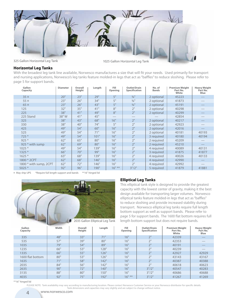

#### **Horizontal Leg Tanks**

With the broadest leg tank line available, Norwesco manufactures a size that will fit your needs. Used primarily for transport and nursing applications, Norwesco's leg tanks feature molded-in legs that act as "baffles" to reduce sloshing. Please refer to page 5 for support bands.

| Gallon<br>Capacity     | <b>Diameter</b> | Overall<br>Height | Length | Fill<br>Opening | <b>Outlet/Drain</b><br><b>Specification</b> | No. of<br><b>Bands</b> | <b>Premium Weight</b><br>Part No.<br>White | <b>Heavy Weight</b><br>Part No.<br>Blue |
|------------------------|-----------------|-------------------|--------|-----------------|---------------------------------------------|------------------------|--------------------------------------------|-----------------------------------------|
| 35 <sub>x</sub>        | 20"             | 23"               | 29"    | 5"              | $3/4$ <sup>11</sup>                         | 2 optional             | 45223                                      |                                         |
| 55 <sub>x</sub>        | 23"             | 26"               | 34"    | 5"              | $3/4$ <sup>11</sup>                         | 2 optional             | 41873                                      |                                         |
| $65 \times$            | 23"             | 26"               | 43"    | 5"              | $3/4$ <sup>11</sup>                         | 2 optional             | 45191                                      |                                         |
| 125                    | 32"             | 35"               | 41"    | 8"              | 2"                                          | 2 optional             | 40298                                      |                                         |
| 225                    | 38"             | 41"               | 49"    | 8"              | 2 <sup>''</sup>                             | 2 optional             | 40299                                      |                                         |
| 225 Stand              | 38"W            | 41"               | 45"    |                 |                                             |                        | 42854                                      |                                         |
| 325                    | 38"             | 43"               | 68"    | 16"             | 2"                                          | 2 optional             | 40217                                      |                                         |
| 330                    | 38"             | 40"               | 74"    | 5"              | 2 <sup>''</sup>                             | 2 optional             | 42923                                      |                                         |
| 425                    | 49"             | 54"               | 60"    | 16"             | 2 <sup>''</sup>                             | 2 optional             | 42016                                      |                                         |
| 525                    | 49"             | 54"               | 71"    | 16"             | 2"                                          | 2 optional             | 40181                                      | 40193                                   |
| $725*$                 | 49"             | 54"               | 101"   | 16"             | 2 <sup>''</sup>                             | 3 required             | 40180                                      | 40194                                   |
| $925*$                 | 62"             | 65"               | 80"    | 16"             | 2"                                          | 2 required             | 45209                                      |                                         |
| 925 * with sump        | 62"             | 69"               | 80"    | 16"             | 2 <sup>''</sup>                             | 2 required             | 45210                                      |                                         |
| $1025*$                | 49"             | 54"               | 139"   | 16"             | 2"                                          | 4 required             | 40089                                      | 40131                                   |
| $1325*$                | 66"             | 70"               | 99"    | 16"             | 2"                                          | 3 required             | 41875                                      | 41877                                   |
| $1625*$                | 63"             | 68"               | 139"   | 16"             | 2 <sup>11</sup>                             | 4 required             | 40026                                      | 40133                                   |
| 1800 * 2CPT            | 62"             | 68"               | 146"   | 16"             | 2"                                          | 4 required             | 42990                                      |                                         |
| 1800 * with sump, 2CPT | 62"             | 72"               | 146"   | 16"             | 2"                                          | 4 required             | 42992                                      |                                         |
| $5025*$                | 92"             | 96"               | 190"   | $16"$ **        | 3" / 2"                                     | 5 reguired             | 41879                                      | 41881                                   |

¤ May ship UPS \*Require full length support and bands \*\*16" hinged lid



#### **Elliptical Leg Tanks**

This elliptical tank style is designed to provide the greatest capacity with the lowest center of gravity, making it the best design available for transporting larger volumes. Norwesco elliptical tanks feature molded-in legs that act as "baffles" to reduce sloshing and provide increased stability during transport. Norwesco elliptical leg tanks require full length bottom support as well as support bands. Please refer to page 5 for support bands. The 1600 flat bottom requires full length bottom support but does not require bands.

| Gallon<br>Capacity | Width | Overall<br>Height | Length | Fill<br>Opening | <b>Outlet/Drain</b><br>Specification | <b>Premium Weight</b><br>Part No.<br>White | <b>Heavy Weight</b><br>Part No.<br><b>Blue</b> |
|--------------------|-------|-------------------|--------|-----------------|--------------------------------------|--------------------------------------------|------------------------------------------------|
| 335                | 48"   | 33"               | 71"    | 16"             | $\neg$                               | 42339                                      |                                                |
| 535                | 57"   | 39"               | 80"    | 16"             | $\bigcap$                            | 42353                                      |                                                |
| 1035               | 79"   | 54"               | 89"    | 16"             | $\neg$                               | 40191                                      | ___                                            |
| 1235               | 66"   | 53"               | 128"   | 16"             | $\bigcap$                            | 40239                                      |                                                |
| 1335               | 66"   | 55"               | 126"   | 16"             | $\neg$                               | 42927                                      | 42929                                          |
| 1600 flat bottom   | 80"   | 53"               | 126"   | 16"             | $\bigcap$                            | 43143                                      | 43167                                          |
| 1635               | 71"   | 58"               | 142"   | 16"             | $\neg$                               | 40387                                      | 40388                                          |
| 2035               | 84"   | 56"               | 142"   | 16"             | $\bigcap$                            | 40618                                      | 40623                                          |
| 2635               | 90"   | 72"               | 140"   | 16"             | 3''/2''                              | 40547                                      | 40283                                          |
| 3135               | 88"   | 80"               | 150"   | 16"             | 3" / 2"                              | 40686                                      | 40688                                          |
| 4035               | 92"   | 75"               | 192"   | $16"$ **        | 3''/2''                              | 41267                                      | 41269                                          |

\*\*16" hinged lid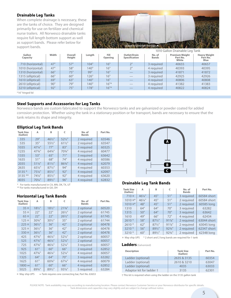#### **Drainable Leg Tanks**

When complete drainage is necessary, these are the tanks of choice. They are designed primarily for use on fertilizer and chemical nurse trailers. All Norwesco drainable tanks require full length bottom support as well as support bands. Please refer below for support bands.



|                    |       |                   |        |                 |                                      |                        | <u>TUTU GAINIT DIAIHADIC LEGI TAHN</u>     |                                         |
|--------------------|-------|-------------------|--------|-----------------|--------------------------------------|------------------------|--------------------------------------------|-----------------------------------------|
| Gallon<br>Capacity | Width | Overall<br>Height | Length | Fill<br>Opening | Outlet/Drain<br><b>Specification</b> | No. of<br><b>Bands</b> | <b>Premium Weight</b><br>Part No.<br>White | <b>Heavy Weight</b><br>Part No.<br>Blue |
| 710 (horizontal)   | 47"   | 57"               | 104"   | 16"             | $\neg$ II                            | 3 required             | 40655                                      | 40657                                   |
| 1010 (horizontal)  | 47"   | 58"               | 140"   | 16"             | $\neg$                               | 4 reguired             | 40393                                      | 40395                                   |
| 1310 (horizontal)  | 66"   | 75"               | 99"    | 16"             |                                      | 3 required             | 41871                                      | 41872                                   |
| 1315 (elliptical)  | 66"   | 60"               | 126"   | 16"             | ___                                  | 3 reguired             | 42925                                      | 42926                                   |
| 1610 (elliptical)  | 69"   | 63"               | 140"   | 16"             | $\overline{\phantom{a}}$             | 4 required             | 40806                                      | 40808                                   |
| 2610 (elliptical)  | 90"   | 79"               | 140"   | $16"$ *         |                                      | 4 required             | 41382                                      | 41383                                   |
| 3210 (elliptical)  | 92"   | 75"               | 178"   | $16"$ *         |                                      | 4 required             | 40822                                      | 40824                                   |
| *16" hinged lid    |       |                   |        |                 |                                      |                        |                                            |                                         |

#### **Steel Supports and Accessories for Leg Tanks**

Norwesco bands are custom fabricated to support the Norwesco tanks and are galvanized or powder coated for added corrosion protection. Whether using the tank in a stationary position or for transport, bands are necessary to ensure that the tank retains its shape and integrity.

| <b>Elliptical Leg Tank Bands</b> |  |  |
|----------------------------------|--|--|
|----------------------------------|--|--|

| <b>Tank Size</b><br>(Gallon) | А                 | в                 | c                 | No. of<br><b>Bands</b> | Part No. |
|------------------------------|-------------------|-------------------|-------------------|------------------------|----------|
| 335                          | 29"               | 461/2"            | $52\frac{1}{2}$ " | 2 required             | 63546    |
| 535                          | 35"               | 551/2"            | $61\frac{1}{2}$ " | 2 required             | 63547    |
| 1035                         | $47\frac{1}{4}$ " | 77"               | 83"               | 3 required             | 60325    |
| 1235                         | 473/4"            | 643/4"            | 703/4"            | 4 required             | 60477    |
| 1335                         | 53"               | 65"               | 71"               | 3 required             | 63642    |
| 1635                         | 51"               | 68"               | 74"               | 4 required             | 60586    |
| 2035                         | $51\frac{1}{4}$ " | $81\frac{1}{2}$ " | 863/4"            | 4 required             | 62079    |
| 2635                         | 651/4"            | $87\frac{1}{2}$ " | 94"               | 4 required             | 60353    |
| 3135 *                       | $75\frac{1}{4}$ " | $85\frac{1}{2}$ " | 92"               | 4 required             | 62097    |
| $3135**$                     | 741/4"            | $85\frac{1}{2}$ " | 92"               | 4 required             | 63620    |
| 4035                         | 701/4"            | 891/2"            | 96"               | 4 required             | 62832    |

\* For tanks manufactured in CA, MN, OK, TX, UT

\*\* For tanks manufactured in GA, OH

#### **Horizontal Leg Tank Bands**

| <b>Tank Size</b><br>(Gallon) | А                 | в                 | C                 | No. of<br><b>Bands</b> | Part No. |
|------------------------------|-------------------|-------------------|-------------------|------------------------|----------|
| 35 <sub>x</sub>              | $18\frac{1}{2}$ " | $18\frac{1}{2}$ " | $21\frac{3}{8}$ " | 2 optional             | 60520    |
| $55 \times$                  | 22"               | 22"               | $26\frac{1}{2}$ " | 2 optional             | 61745    |
| $65 \times$                  | 22"               | 22"               | $26\frac{1}{2}$ " | 2 optional             | 61745    |
| 125x                         | $30\frac{3}{4}$ " | 301/2"            | 35"               | 2 optional             | 61744    |
| $225$ $\alpha$               | $36\frac{1}{2}$ " | 36"               | 42"               | 2 optional             | 60478    |
| 325 ¤                        | $36\frac{1}{2}$ " | 36"               | 42"               | 2 optional             | 60478    |
| 330 ¤                        | $36\frac{1}{2}$ " | 36"               | 42"               | 2 optional             | 60478    |
| 425                          | 473/4"            | 461/4"            | $52\frac{1}{4}$ " | 2 optional             | 60057    |
| 525                          | $47\frac{3}{4}$ " | 461/4"            | 521/4"            | 2 optional             | 60057    |
| 725                          | $47\frac{3}{4}$ " | 461/4"            | $52\frac{1}{4}$ " | 3 required             | 60057    |
| 925                          | 61"               | 60"               | 66"               | 2 required             | 62852    |
| 1025                         | 473/4"            | 461/4"            | $52\frac{1}{4}$ " | 4 required             | 60057    |
| 1325                         | 64"               | 64"               | 70"               | 3 required             | 63282    |
| 1625                         | 61"               | 603/4"            | $67\frac{1}{4}$ " | 4 required             | 60079    |
| $1800 \infty$                | 61"               | 60"               | 66"               | 4 required             | 62852    |
| 5025                         | 893/4"            | 891/2"            | $93\%$ "          | 5 required             | 63284    |

¤ May ship UPS ∞ Tank requires one connecting bar, Part No. 63653



#### **Drainable Leg Tank Bands**

| <b>Tank Size</b><br>(Gallon) | А      | в                 | c        | No. of<br><b>Bands</b> | Part No.    |
|------------------------------|--------|-------------------|----------|------------------------|-------------|
| 710x                         | 461/4" | 45"               | 51"      | 3 required             | 60584 short |
| $1010 x*$                    | 461/4" | 45"               | 51"      | 2 required             | 60584 short |
| $1010 x*$                    | 48"    | 45"               | 51"      | 2 required             | 60585 long  |
| 1310                         | 64"    | 64"               | 70"      | 3 required             | 63282       |
| 1315                         | 50"    | 64"               | 70"      | 3 required             | 63642       |
| 1610                         | 49"    | 66"               | 72"      | 4 required             | 62434       |
| $2610*$                      | 58"    | $87\frac{1}{2}$ " | $91\%$ " | 2 required             | 63044 short |
| $2610*$                      | 62"    | $87\frac{1}{2}$ " | $91\%$ " | 2 required             | 63045 long  |
| $3210*$                      | 56"    | 891/2"            | 923/4"   | 2 required             | 62347 short |
| $3210*$                      | 60"    | 891/2"            | 923/4"   | 2 required             | 62348 long  |

 $\alpha$  May ship UPS  $*$  2 short and 2 long bands are required for 1 tank

#### **Ladders** (Galvanized)

| <b>Description</b>       | <b>Tank Size</b><br>(Gallon) | Part No. |
|--------------------------|------------------------------|----------|
| Ladder (optional)        | 2635 & 3135                  | 60354    |
| Ladder (optional)        | 2610 & 3210                  | 63047    |
| Ladder (optional)        | 4035                         | 63033    |
| Adaptor kit for ladder † | 3135                         | 62301    |

† This kit is required when using the ladder on the 3135 gallon tank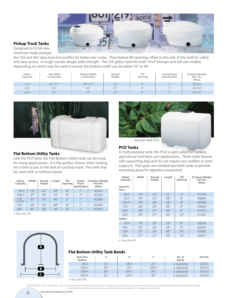

#### **Pickup Truck Tanks**

Designed to fit full-size, American made pickups,

the 325 and 425 sizes have low profiles for better rear vision. They feature fill openings offset to the side of the tank for safety and easy access. A tough circular design adds strength. The 210 gallon tank fits both "mini" pickups and full-size models. Depending on which way the tank is turned, the bottom width can be either 39" or 48".

| Gallon<br>Capacity | <b>Top Width</b><br>or Diameter | <b>Bottom Width</b><br>or Diameter | Overall<br>Height | Fill<br>Opening | Outlet/Drain<br>Specification | <b>Premium Weight</b><br>Part No.<br>White |
|--------------------|---------------------------------|------------------------------------|-------------------|-----------------|-------------------------------|--------------------------------------------|
| 210                | 60''/51'''                      | 48"/39"                            | 29'               | 8"              | $\bigcap$                     | 40300                                      |
| 325                | 62"                             | 49"                                | 33"               | 8"              | $\bigcap$<br>-                | 40160                                      |
| 425                | 65"                             | 49"                                | 39"               | 8"              | $\bigcap$                     | 40102                                      |



#### **Flat Bottom Utility Tanks**

Like the PCO tank, the Flat Bottom Utility tank can be used for many applications. It is the perfect choice when looking for a tank to put in the bed of a pickup truck. The tank may be used with or without bands.

| Gallon<br>Capacity | Width | Overall<br>Height | Lenath | Fill<br>Opening | Outlet/<br>Drain<br>Specification | <b>Premium Weight</b><br>Part No.<br>White |
|--------------------|-------|-------------------|--------|-----------------|-----------------------------------|--------------------------------------------|
| 50x                | 19"   | 23"               | 38"    | 8"              | $1$ II                            | 42341                                      |
| $100 \times$       | 27"   | 79"               | 43"    | 8"              | 1 <sup>II</sup>                   | 42343                                      |
| 110<br>low profile | 35"   | 18"               | 48"    | 5"              | 1 <sup>H</sup>                    | 42349                                      |
| 150                | 36"   | 29"               | 48"    | 8"              | 1"                                | 42345                                      |
| 200                | 36"   | 38"               | 48"    | 8"              | 1 <sup>II</sup>                   | 42347                                      |

¤ May ship UPS



#### Smooth Wall PCO

#### **PCO Tanks**

A multi-purpose tank, the PCO is well suited for nursery, agricultural and lawn care applications. These tanks feature self-supporting legs and do not require any saddles or steel supports. Flat spots are molded into both ends to provide mounting areas for agitation equipment.

| Width | Overall<br>Height | Length | Fill<br>Opening | <b>Premium Weight</b><br>Part No.<br>White |
|-------|-------------------|--------|-----------------|--------------------------------------------|
|       |                   |        |                 |                                            |
| 19"   | 23"               | 25"    | 5"              | 41254                                      |
| 19"   | 22"               | 38"    | 8"              | 40664                                      |
| 30"   | 28"               | 38"    | 8"              | 40668                                      |
| 36"   | 28"               | 48"    | 8"              | 40669                                      |
| 36"   | 37"               | 48"    | 8"              | 41413                                      |
| 36"   | 37"               | 69"    | 16"             | 41381                                      |
|       |                   |        |                 |                                            |
| 19"   | 23"               | 38"    | 8"              | 42834                                      |
| 30"   | 30"               | 38"    | 8"              | 42835                                      |
| 37"   | 79"               | 48"    | 16"             | 42836                                      |
| 37"   | 37"               | 48"    | 16"             | 42837                                      |
|       |                   |        |                 |                                            |

¤ May ship UPS

#### **Flat Bottom Utility Tank Bands**

| <b>Tank Size</b><br>(Gallon) |     |                   |                   | No. of<br><b>Bands</b> | Part No. |
|------------------------------|-----|-------------------|-------------------|------------------------|----------|
| 50 <sub>x</sub>              | 19" | $18\frac{1}{2}$ " | 23"               | 2 optional             | 63551    |
| $100 \times$                 | 24" | 25"               | $29\frac{1}{2}$ " | 2 optional             | 63552    |
| $150 \times$                 | 24" | $34\frac{1}{2}$ " | 39"               | 2 optional             | 63553    |
| $200 \times$                 | 33" | $34\frac{1}{2}$ " | 39"               | 2 optional             | 63554    |

¤ May ship UPS



www.norwesco.com

**A**

**B C**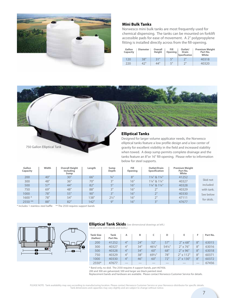

#### **Mini Bulk Tanks**

Norwesco mini bulk tanks are most frequently used for chemical dispensing. The tanks can be mounted on forklift accessible pads for ease of movement. A 2" polypropylene fitting is installed directly across from the fill-opening.

| Gallon<br>Capacity | <b>Diameter</b> | Overall<br>Height | Fill<br>Opening | Outlet/<br><b>Drain</b><br><b>Specification</b> | <b>Premium Weight</b><br>Part No.<br>White |
|--------------------|-----------------|-------------------|-----------------|-------------------------------------------------|--------------------------------------------|
| 120                | 38"             | 31"               | 5"              | つ"                                              | 40318                                      |
| 220                | 42"             | 44"               | 5"              | つ‼                                              | 40320                                      |



#### **Elliptical Tanks**

Designed for larger volume applicator needs, the Norwesco elliptical tanks feature a low profile design and a low center of gravity for excellent visibility in the field and increased stability when towed. A deep sump permits complete drainage and the tanks feature an 8"or 16" fill-opening. Please refer to information below for steel supports.

| Gallon<br>Capacity | Width | <b>Overall Height</b><br>Including<br>Sump | Length | Sump<br>Depth       | Fill<br>Opening | <b>Outlet/Drain</b><br>Specification | <b>Premium Weight</b><br>Part No.<br>White |            |
|--------------------|-------|--------------------------------------------|--------|---------------------|-----------------|--------------------------------------|--------------------------------------------|------------|
| 200                | 40"   | 30"                                        | 66"    | $3/4$ <sup>11</sup> | 8"              | 11/4" & 11/4"                        | 41252                                      |            |
| 300                | 48"   | 36"                                        | 70"    | $2^{\prime\prime}$  | 16"             | 11/4" & 11/4"                        | 40327                                      | Skid not   |
| 500                | 57"   | 44"                                        | 82"    | $\mathbf{r}$        | 16"             | 11/4" & 11/4"                        | 40328                                      | included   |
| 750                | 69"   | 48"                                        | 88"    | 2 <sub>  </sub>     | 16"             | 2"                                   | 40329                                      | with tank. |
| 1000               | 78"   | 55"                                        | 90"    | 2 <sup>11</sup>     | 16"             | 2"                                   | 40330                                      | See below  |
| $1600*$            | 78"   | 54"                                        | 138"   | $2\frac{1}{2}$ "    | 16"             | 2"                                   | 47111                                      | for skids. |
| $2550$ **          | 88"   | 82"                                        | 142"   | Q''                 | 16"             | 3"                                   | 47677                                      |            |

\* Includes 1 stainless steel baffle \*\* The 2550 requires support bands

**F**

**F**



750 Gallon Elliptical Tank



| <b>Tank Size</b><br>(Gallon) | Tank<br>Part No. | А   | в   | c                 | D      | Е                        | F   | Part No. |
|------------------------------|------------------|-----|-----|-------------------|--------|--------------------------|-----|----------|
| 200                          | 41252            | 4"  | 24" | 52"               | 57"    | $2" \times 68"$          | 8"  | 63015    |
| 300                          | 40327            | 4"  | 34" | 461/4"            | 541/4" | $2" \times 76"$          | 8"  | 63016    |
| 500                          | 40328            | 4"  | 34" | 60"               | 68"    | $2" \times 96"$          | 8"  | 63018    |
| 750                          | 40329            | 4"  | 38" | $69\frac{1}{2}$ " | 78"    | $2" \times 112"$         | 8"  | 60371    |
| 1000                         | 40330            | 4"  | 46" | 60"               | 72"    | 2" x 130"                | 8"  | 60372    |
| 2550*                        | 47677            | ___ | ___ | ___               | __     | $\overline{\phantom{a}}$ | $-$ | 67456    |

\* Band only, no skid. The 2550 requires 4 support bands, part #67456. 200 and 300 are galvanized; 500 and larger are black painted steel.

Replacement bands and hardware are available. Please contact Norwesco Customer Service for details.

7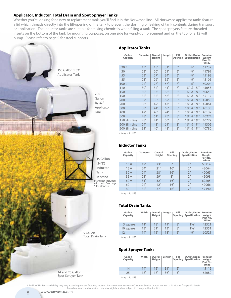#### **Applicator, Inductor, Total Drain and Spot Sprayer Tanks**

Whether you're looking for a new or replacement tank, you'll find it in the Norwesco line. All Norwesco applicator tanks feature a lid which threads directly into the fill-opening of the tank to prevent the sloshing or leaking of tank contents during transport or application. The inductor tanks are suitable for mixing chemicals when filling a tank. The spot sprayers feature threaded inserts on the bottom of the tank for mounting purposes, on one side for wand/gun placement and on the top for a 12 volt pump. Please refer to page 9 for steel supports.



#### **Applicator Tanks**

| Gallon<br>Capacity | Diameter | Overall<br>Height | Length | Fill<br>Opening | <b>Outlet/Drain   Premium</b><br>Specification | Weight<br>Part No.<br>White |
|--------------------|----------|-------------------|--------|-----------------|------------------------------------------------|-----------------------------|
| 20 <sub>x</sub>    | 15"      | 18"               | 31"    | 5"              | $3/4$ <sup>11</sup>                            | 61737                       |
| $30 \times$        | 23"      | 26"               | 21"    | 5"              | $\frac{3}{4}$ <sup>11</sup>                    | 41799                       |
| $55 \times$        | 23"      | 27"               | 34"    | 5"              | $\frac{3}{4}$ "                                | 45193                       |
| $85 \times$        | 23"      | 26"               | 52"    | 5"              | $3/4$ <sup>11</sup>                            | 45105                       |
| $100 \times$       | 24"      | 28"               | 57"    | 8"              | $3/4$ <sup>11</sup>                            | 60204                       |
| 110x               | 30"      | 34"               | 41"    | 8"              | 11/4" & 11/4"                                  | 45053                       |
| 150                | 30"      | 33"               | 58"    | 8"              | 11/4" & 11/4"                                  | 40648                       |
| 150                | 32"      | 35"               | 46"    | 8"              | 11/4" & 11/4"                                  | 45117                       |
| 200                | 32"      | 35"               | 62"    | 8"              | 11/4" & 11/4"                                  | 45059                       |
| 200                | 38"      | 42"               | 47"    | 8"              | 11/4" & 11/4"                                  | 45061                       |
| 300                | 38"      | 41"               | 68"    | 8"              | 11/4" & 11/4"                                  | 40135                       |
| 400                | 42"      | 45"               | 74"    | 8"              | 11/4" & 11/4"                                  | 40137                       |
| 500                | 48"      | 51"               | 75"    | 8"              | 11/4" & 11/4"                                  | 40274                       |
| 150 Slim Line      | 28"      | 41"               | 50"    | 8"              | 11/4" & 11/4"                                  | 40777                       |
| 200 Slim Line      | 24"      | 48"               | 61"    | 8"              | 11/4" & 11/4"                                  | 41305                       |
| 200 Slim Line      | 31"      | 46"               | 48"    | 8"              | 11/4" & 11/4"                                  | 40780                       |
|                    |          |                   |        |                 |                                                |                             |

¤ May ship UPS

#### **Inductor Tanks**

| Gallon<br>Capacity | <b>Diameter</b> | Overall<br>Height | Fill<br>Opening | <b>Outlet/Drain</b><br><b>Specification</b> | Premium<br>Weight<br>Part No.<br>White |
|--------------------|-----------------|-------------------|-----------------|---------------------------------------------|----------------------------------------|
| $15 \times$        | 19"             | 23"               | 8"              | 2"                                          | 60214                                  |
| 15 <sub>x</sub>    | 24"             | 21"               | 16"             | 2"                                          | 42064                                  |
| $30 \times$        | 24"             | 28"               | 16"             | 2"                                          | 42065                                  |
| $35 \times$        | 23"             | 79"               | 8"              | 2"                                          | 45098                                  |
| $60 \times$        | 31"             | 32"               | 16"             | 2"                                          | 62205                                  |
| 60                 | 24"             | 42"               | 16"             | 2"                                          | 42066                                  |
| 80                 | 32"             | 37"               | 16"             | 2"                                          | 47190                                  |

¤ May ship UPS

#### **Total Drain Tanks**

| Gallon<br>Capacity | Width | Height | Overall   Length | Fill | <b>Outlet/Drain   Premium</b><br>Opening Specification | Weight<br>Part No.<br>White |
|--------------------|-------|--------|------------------|------|--------------------------------------------------------|-----------------------------|
| 5 square ¤         | 11"   | 18"    | 11"              | 8"   | $1\frac{1}{4}$                                         | 42321                       |
| 10 square ¤        | 13"   | 21"    | 13"              | 8"   | $1\frac{1}{4}$                                         | 42351                       |
| $12\alpha$         | 14"   | 15"    | 18"              | 5"   | $3/4$ <sup>11</sup>                                    | 60521                       |

¤ May ship UPS

#### **Spot Sprayer Tanks**

| Gallon<br>Capacity | Width | Overall   Length  <br>Height |     | Fill | Outlet/Drain   Premium<br><b>Opening Specification</b> | Weight<br>Part No.<br>White |
|--------------------|-------|------------------------------|-----|------|--------------------------------------------------------|-----------------------------|
| $14 \times$        | 14"   | 15"                          | 31" | 5"   |                                                        | 45115                       |
| 25 <sub>x</sub>    | 18"   | 18"                          | 36" | 5"   | ___                                                    | 62080                       |

¤ May ship UPS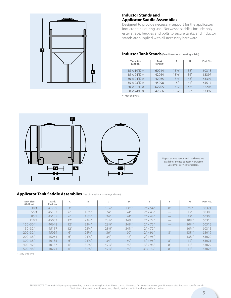

#### **Inductor Stands and Applicator Saddle Assemblies**

Designed to provide necessary support for the applicator/ inductor tank during use. Norwesco saddles include polyester straps, buckles and bolts to secure tanks, and inductor stands are supplied with all necessary hardware.

#### **Inductor Tank Stands** (See dimensional drawing at left.)

| <b>Tank Size</b><br>(Gallon)     | Tank<br>Part No. | А                 | в   | Part No. |
|----------------------------------|------------------|-------------------|-----|----------|
| $15 \times 19$ "D $\alpha$       | 60214            | $15\frac{1}{2}$   | 38" | 60313    |
| $15 \times 24$ "D $\alpha$       | 42064            | $13\frac{1}{2}$ " | 36" | 63397    |
| $30 \times 24$ "D $\alpha$       | 42065            | $13\frac{1}{2}$ " | 43" | 63397    |
| $35 \times 23$ "D $\alpha$       | 45098            | 15"               | 44" | 65517    |
| $60 \times 31$ "D $\overline{a}$ | 62205            | $14\frac{1}{2}$ " | 47" | 62204    |
| $60 \times 24"$ D $\alpha$       | 42066            | $13\frac{1}{4}$ " | 56" | 63397    |

¤ May ship UPS



Replacement bands and hardware are available. Please contact Norwesco Customer Service for details.

#### **Applicator Tank Saddle Assemblies** (See dimensional drawings above.)

| <b>Tank Size</b><br>(Gallon) | Tank<br>Part No. | Α   | B                 |                   | D                 | Е                 | F                        | G                 | Part No. |
|------------------------------|------------------|-----|-------------------|-------------------|-------------------|-------------------|--------------------------|-------------------|----------|
| $30 \times$                  | 41799            | 3"  | 19"               | $13\frac{1}{2}$ " | $13\frac{1}{2}$ " | $2" \times 54"$   | 8"                       | $73/4$ "          | 60321    |
| $55 \times$                  | 45193            | 6"  | $18\%$ "          | 24"               | 24"               | $2" \times 48"$   | ___                      | 12"               | 60303    |
| $85 \times$                  | 45105            | 6"  | $18\%$ "          | 24"               | 24"               | $2" \times 48"$   | $\frac{1}{2}$            | 12"               | 60303    |
| 110x                         | 45053            | 12" | $23^{3}/4$ "      | 283/4"            | $34\frac{3}{4}$ " | $2'' \times 72''$ |                          | $10^{3}/4"$       | 60315    |
| $150 - 30"$ $\alpha$         | 40648            | 12" | $23^{3}/4$ "      | 283/4"            | $34\frac{3}{4}$ " | $2" \times 72"$   | $\overline{\phantom{a}}$ | $10^{3}/4$ "      | 60315    |
| $150 - 32"$ $\alpha$         | 45117            | 12" | $23^{3}/4$ "      | 283/4"            | $34\frac{3}{4}$ " | $2'' \times 72''$ | $\overline{\phantom{a}}$ | $10^{3}/4$ "      | 60315    |
| $200 - 32"$                  | 45059            | 6"  | $24\frac{7}{8}$ " | 36"               | 60"               | $2" \times 96"$   | 8"                       | $13\frac{1}{4}$ " | 63019    |
| $200 - 38"$                  | 45061            | 6"  | $24\frac{3}{4}$ " | 34"               | 42"               | $2" \times 96"$   | $-$                      | $13\frac{1}{4}$ " | 63020    |
| $300 - 38"$                  | 40135            | 6"  | $24\frac{3}{4}$ " | 34"               | 60"               | $3" \times 96"$   | 8"                       | 12"               | 63021    |
| $400 - 42"$                  | 40137            | 6"  | $30\%$ "          | $42\frac{1}{2}$ " | 60"               | $3" \times 96"$   | $R^{\prime\prime}$       | 12"               | 63022    |
| $500 - 48"$                  | 40274            | 6"  | $30\%$ "          | $42\frac{1}{2}$ " | 60"               | $3" \times 132"$  | 8"                       | 12"               | 63023    |

¤ May ship UPS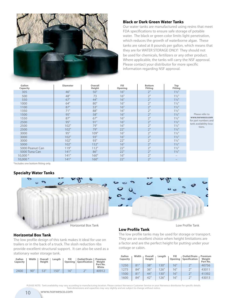

#### **Black or Dark Green Water Tanks**

Our water tanks are manufactured using resins that meet FDA specifications to ensure safe storage of potable water. The black or green color limits light penetration, which reduces the growth of waterborne algae. These tanks are rated at 8 pounds per gallon, which means that they are for WATER STORAGE ONLY! They should not be used for chemicals, fertilizers or any other product. Where applicable, the tanks will carry the NSF approval. Please contact your distributor for more specific information regarding NSF approval.

| Gallon<br>Capacity | <b>Diameter</b> | Overall<br>Height | Fill<br>Opening | <b>Bottom</b><br><b>Fitting</b> | Top<br><b>Fitting</b> |                                                 |
|--------------------|-----------------|-------------------|-----------------|---------------------------------|-----------------------|-------------------------------------------------|
| 305                | 46"             | 50"               | 16"             | 2"                              | $1\frac{1}{2}$        |                                                 |
| 500                | 48"             | 73                | 16"             | 2"                              | $1\frac{1}{2}$        |                                                 |
| 550                | 67"             | 44"               | 16"             | 2"                              | $1\frac{1}{2}$        |                                                 |
| 1000               | 64"             | 80"               | 16"             | 2"                              | $1\frac{1}{2}$        |                                                 |
| 1100               | 87"             | 53"               | 16"             | 2"                              | $1\frac{1}{2}$        |                                                 |
| 1350               | 71"             | 88"               | 16"             | 2"                              | $1\frac{1}{2}$        |                                                 |
| 1500               | 95"             | 58"               | 16"             | 2"                              | $1\frac{1}{2}$        | Please refer to                                 |
| 1550               | 87"             | 67"               | 16"             | 2"                              | $1\frac{1}{2}$        | www.norwesco.com                                |
| 2500               | 95"             | 91"               | 16"             | 2"                              | $1\frac{1}{2}$        | for part numbers and<br>tank availability loca- |
| 2500               | 102"            | 79"               | 16"             | 2"                              | $1\frac{1}{2}$        | tions.                                          |
| 2500               | 102"            | 79"               | 22"             | 2"                              | $1\frac{1}{2}$        |                                                 |
| 3000               | 95"             | 109"              | 16"             | 2"                              | $1\frac{1}{2}$        |                                                 |
| 3000               | 102"            | 93"               | 16"             | 2"                              | $1\frac{1}{2}$        |                                                 |
| 3000               | 102"            | 93"               | 22"             | 2"                              | $1\frac{1}{2}$        |                                                 |
| 5000               | 102"            | 152"              | 16"             | 2"                              | $1\frac{1}{2}$        |                                                 |
| 5000 Peanut Can    | 119"            | 112"              | 22"             | 2"                              | $1\frac{1}{2}$        |                                                 |
| 5000 Tuna Can      | 141"            | 86"               | 22"             | 2"                              | $1\frac{1}{2}$        |                                                 |
| $10,000*$          | 141"            | 160"              | 16"             | 2"                              |                       |                                                 |
| $10,000*$          | 141"            | 160"              | 22"             | 2"                              | $\qquad \qquad -$     |                                                 |

\*Includes one bottom fitting only.

#### **Specialty Water Tanks**



#### **Horizontal Box Tank**

10

The low profile design of this tank makes it ideal for use on trailers or in the back of a truck. The slosh reduction ribs provide excellent structural support. It can also be used as a stationary water storage tank.

| Gallon<br>Capacity | Width | Overall<br>Height | Length | Fill | Outlet/Drain  <br>Opening Specification | Premium<br>Weight<br>Part No.<br>White |
|--------------------|-------|-------------------|--------|------|-----------------------------------------|----------------------------------------|
| 2400               | 90"   | 53"               | 150"   | 16"  | $\neg$                                  | 40912                                  |

#### **Low Profile Tank**

The low profile tanks may be used for storage or transport. They are an excellent choice when height limitations are a factor and are the perfect height for putting under your cottage or cabin.

| Gallon<br>Capacity | Width | Overall<br>Height | Length | Fill<br>Opening | <b>Outlet/Drain</b><br>Specification | Premium<br>Weight<br>Part No. |
|--------------------|-------|-------------------|--------|-----------------|--------------------------------------|-------------------------------|
| 1250               | 81"   | 38"               | 130"   | 16"             | 2"                                   | 40756                         |
| 1275               | 84"   | 36"               | 126"   | 16"             | 2"                                   | 43011                         |
| 1500               | 81"   | 44"               | 130"   | 16"             | 2"                                   | 41392                         |
| 1600               | 84"   | 42"               | 126"   | 16"             | 2"                                   | 43013                         |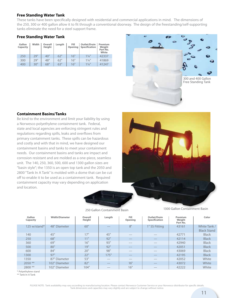#### **Free Standing Water Tank**

These tanks have been specifically designed with residential and commercial applications in mind. The dimensions of the 250, 300 or 400 gallon allow it to fit through a conventional doorway. The design of the freestanding/self-supporting tanks eliminate the need for a steel support frame.

#### **Free Standing Water Tank**

| Gallon<br>Capacity | Width | Overall<br>Height | Length | Fill<br>Opening | <b>Outlet/Drain</b><br>Specification | Premium<br>Weight<br>Part No.<br>White |
|--------------------|-------|-------------------|--------|-----------------|--------------------------------------|----------------------------------------|
| 250                | 29"   | 40"               | 62"    | 16"             | $1\frac{1}{4}$                       | 42337                                  |
| 300                | 29"   | 48"               | 62"    | 16"             | $1\frac{1}{4}$ "                     | 41869                                  |
| 400                | 30"   | 68"               | 63"    | 16"             | $1\frac{1}{4}$                       | 41247                                  |



#### **Containment Basins/Tanks**

Be kind to the environment and limit your liability by using a Norwesco polyethylene containment tank. Federal, state and local agencies are enforcing stringent rules and regulations regarding spills, leaks and overflows from primary containment tanks. These spills can be hazardous and costly and with that in mind, we have designed our containment basins and tanks to meet your containment needs. Our containment basins and tanks are impact and corrosion resistant and are molded as a one-piece, seamless unit. The 140, 250, 360, 500, 600 and 1300 gallon sizes are "basin style"; the 1350 is an open top tank and the 2050 and 2800 "Tank In A Tank" is molded with a dome that can be cut off to enable it to be used as a containment tank. Required containment capacity may vary depending on application and location.



1300 Gallon Containment Basin 250 Gallon Containment Basin

| Gallon<br>Capacity | <b>Width/Diameter</b> | Overall<br>Height | Length | Fill<br>Opening | Outlet/Drain<br><b>Specification</b> | <b>Premium</b><br>Weight<br>Part No. | Color                              |
|--------------------|-----------------------|-------------------|--------|-----------------|--------------------------------------|--------------------------------------|------------------------------------|
| 125 w/stand*       | 48" Diameter          | 60"               | $-\$   | 8"              | 1" SS Fitting                        | 43161                                | White Tank /<br><b>Black Stand</b> |
| 140                | 45"                   | 17"               | 45"    |                 |                                      | 42771                                | <b>Black</b>                       |
| 250                | 68"                   | 11"               | 92"    |                 | $\overline{\phantom{a}}$             | 42114                                | <b>Black</b>                       |
| 360                | 69"                   | 16"               | 93"    | --              |                                      | 42940                                | <b>Black</b>                       |
| 500                | 80"                   | 19"               | 92"    | $- -$           | $\overline{\phantom{a}}$             | 42051                                | <b>Black</b>                       |
| 600                | 84"                   | 20"               | 98"    |                 | $-$                                  | 43069                                | <b>Black</b>                       |
| 1300               | 97"                   | 22"               | 175"   | $-$             | $-$                                  | 42195                                | <b>Black</b>                       |
| 1350               | 87" Diameter          | 53"               | --     | __              | $-$                                  | 42052                                | White                              |
| $2050$ **          | 102" Diameter         | 82"               | $-$    | 16"             | $-$                                  | 43072                                | White                              |
| 2800 **            | 102" Diameter         | 104"              | --     | 16"             | ___                                  | 42222                                | White                              |

\* Polyethylene stand

\*\* Tank In A Tank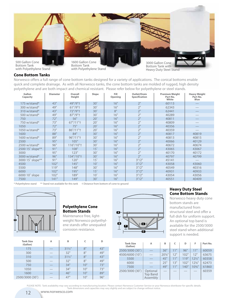

#### **Cone Bottom Tanks**

Norwesco offers a full range of cone bottom tanks designed for a variety of applications. The conical bottoms enable quick and complete drainage. As with all Norwesco tanks, the cone bottom tanks are molded of rugged, high density polyethylene and are both impact and chemical resistant. Please refer below for polyethylene or steel stands.

| Gallon<br>Capacity | <b>Diameter</b> | Overall<br>Height | Slope        | Fill<br>Opening | Outlet/Drain<br>Specification | <b>Premium Weight</b><br>Part No.<br>White | <b>Heavy Weight</b><br>Part No.<br>Blue |
|--------------------|-----------------|-------------------|--------------|-----------------|-------------------------------|--------------------------------------------|-----------------------------------------|
| 175 w/stand*       | 43"             | 49"/9"+           | $30^\circ$   | 16"             | 2"                            | 60113                                      |                                         |
| 300 w/stand*       | 49"             | $61''/9''$ †      | $30^\circ$   | 16"             | 2"                            | 62343                                      |                                         |
| 310 w/stand*       | 43"             | 72"/9"+           | $30^\circ$   | 8"              | 2"                            | 62441                                      |                                         |
| 500 w/stand*       | 49"             | 87"/9"+           | $30^\circ$   | 16"             | 2"                            | 40289                                      |                                         |
| 750                | 72"             | 56"               | $20^\circ$   | 16"             | 2"                            | 40811                                      |                                         |
| 750 w/stand*       | 73"             | 67" / 11"         | $20^\circ$   | 16"             | 2"                            | 40809                                      |                                         |
| 1050               | 72"             | 75"               | $20^\circ$   | 16"             | 2 <sup>''</sup>               | 40356                                      |                                         |
| 1050 w/stand $*$   | 73"             | 86"/11"+          | $20^\circ$   | 16"             | 2"                            | 40359                                      |                                         |
| 1600               | 88"             | 84"               | $30^\circ$   | 16"             | 2 <sup>''</sup>               | 40817                                      | 40819                                   |
| 1600 w/stand $*$   | 89"             | 96''/11''         | $30^\circ$   | 16"             | 2"                            | 40813                                      | 40815                                   |
| 2500               | 95"             | 105"              | $30^\circ$   | 16"             | 2"                            | 40066                                      | 40129                                   |
| 2500 w/stand*      | 96"             | 116"/10"†         | $30^\circ$   | 16"             | 2"                            | 40672                                      | 40674                                   |
| 2500 15° slope**   | 91"             | 108"              | $15^\circ$   | 16"             | 2 <sup>''</sup>               | 43065                                      | 43067                                   |
| 3000               | 95"             | 123"              | $30^\circ$   | 16"             | 2"                            | 40170                                      | 40172                                   |
| 3000 w/stand*      | 96"             | 134"/10"†         | $30^\circ$   | 16"             | 2 <sup>''</sup>               | 40797                                      | 40799                                   |
| 3000 15° slope**   | 91"             | 120"              | $15^\circ$   | 16"             | 3" / 2"                       | 45141                                      |                                         |
| 4500               | 102"            | 145"              | $10^\circ$   | 16"             | 3" / 2"                       | 43058                                      | 43060                                   |
| 5500               | 119"            | 148"              | $30^\circ$   | 16"             | 3" / 2"                       | 40549                                      | 40316                                   |
| 6000               | 102"            | 195"              | $15^\circ$   | 16"             | 3" / 2"                       | 40931                                      | 40933                                   |
| 6000 10° slope     | 102"            | 189"              | $10^{\circ}$ | 16"             | 3" / 2"                       | 43054                                      | 43056                                   |
| 7500               | 141"            | 149"              | $30^\circ$   | 16"             | 3''/2''                       | 40551                                      | 40409                                   |

\* Polyethylene stand \*\* Stand not available for this tank † Distance from bottom of cone to ground



#### **Polyethylene Cone Bottom Stands E**

Maintenance free, lightweight Norwesco polyethylene stands offer unequaled corrosion resistance.

| <b>Tank Size</b><br>(Gallon) | A   | B                 | c   | D   |
|------------------------------|-----|-------------------|-----|-----|
| 175                          | ___ | $31\frac{1}{2}$   | 8"  | 43" |
| 300                          |     | 32"               | 8"  | 49" |
| 310                          |     | $31\frac{1}{2}$ " | 8"  | 43" |
| 500                          |     | 32"               | 8"  | 49" |
| 750                          |     | 34"               | 10" | 73" |
| 1050                         |     | 34"               | 10" | 73" |
| 1600                         |     | 46"               | 10" | 89" |
| 2500/3000 (30°)              |     | 47"               | 10" | 96" |



#### **Heavy Duty Steel Cone Bottom Stands**

Norwesco heavy duty cone bottom stands are manufactured from full dish for uniform support. An optional top band is available for the 2500/3000 steel stand when additional support is needed.

| <b>Tank Size</b><br>(Gallon) | A                                       | B    | c   | D    | F               | Part No. |
|------------------------------|-----------------------------------------|------|-----|------|-----------------|----------|
| 2500/3000 (30°)              |                                         | 36"  | 11" | 96"  | 11"             | 60059    |
| 4500/6000 (10°)              |                                         | 20%" | 12" | 102" | 12"             | 63675    |
| 5500                         |                                         | 45"  | 11" | 119" | $12\frac{1}{2}$ | 60358    |
| 6000                         |                                         | 25"  | 13" | 102" | $12\%$ "        | 62473    |
| 7500                         |                                         | 49"  | 11" | 140" | $10^{3}/4"$     | 61860    |
| 2500/3000 (30°)              | Optional<br><b>Top Band</b><br>Assembly |      |     |      |                 | 60359    |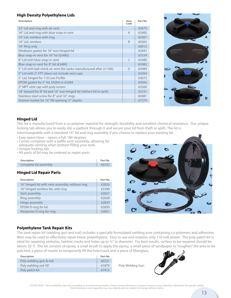#### **High Density Polyethylene Lids**

| <b>Description</b>                                                    | Item<br>Code | Part No. |
|-----------------------------------------------------------------------|--------------|----------|
| 22" Lid and ring with air vent                                        |              | 63679    |
| 16" Lid and ring with blue snap-in vent                               | $\mathsf{A}$ | 63485    |
| 16" Lid, ventless with ring                                           |              | 60367    |
| 16" Lid, ventless                                                     | <sub>R</sub> | 60365    |
| 16" Ring only                                                         |              | 60012    |
| Ethafoam gasket for 16" non-hinged lid                                |              | 62941    |
| Blue snap-in vent for 16" lid (63485)                                 |              | 63539    |
| 8" Lid with blue snap-in vent                                         | $\subset$    | 63480    |
| Blue snap-in vent for 8" lid (63480)                                  |              | 63482    |
| 5" Lid with ball check air vent (for tanks manufactured after 2/1/00) | $\Box$       | 63484    |
| 5" Lid with 2" FPT (does not include vent cap)                        |              | 63264    |
| 5" Lid, hinged for 110 Low Profile                                    |              | 63673    |
| EPDM gasket for 5" lid, 63264 or 63484                                |              | 60366    |
| 2" MPT vent cap with poly screen                                      |              | 63266    |
| 18" lanyard for 8" lid and 16" non-hinged lid (tethers lid to tank)   |              | 62531    |
| Stainless steel screw for 8" and 16" rings                            |              | 60081    |
| Strainer basket for 16" fill-opening (7" depth)                       |              | 67374    |



#### **Hinged Lid**

This lid is manufactured from a co-polymer material for strength, durability and excellent chemical resistance. Our unique locking tab allows you to easily slip a padlock through it and secure your lid from theft or spills. The lid is interchangeable with a standard 16" lid and ring assembly if you choose to replace your existing lid.

- Easy open/close opens a full 180 degrees
- Comes complete with a baffle vent assembly, allowing for adequate venting when bottom filling your tank.
- Unique locking tab
- All parts of lid may be ordered as repair parts

| <b>Description</b>    | Part No. |
|-----------------------|----------|
| Complete lid assembly | 62532    |

#### **Hinged Lid Repair Parts**

| <b>Description</b>                              | Part No. |
|-------------------------------------------------|----------|
| 16" hinged lid with vent assembly, without ring | 62826    |
| 16" hinged ventless lid, with ring              | 63390    |
| Vent assembly                                   | 62827    |
| Ring assembly                                   | 62828    |
| Hinge assembly                                  | 62829    |
| EPDM O-ring for lid                             | 62830    |
| Neoprene O-ring for ring                        | 62831    |



#### **Polyethylene Tank Repair Kits**

The tank repair kit (welding gun and rod) includes a specially formulated welding wire containing co-polymers and adhesives. Wire may be used to effectively repair linear polyethylene. Easy to use and requires only 110 volt power. The poly patch kit is ideal for repairing pinholes, hairline cracks and holes up to ½" in diameter. For best results, surface to be repaired should be above 32˚ F. The kit consists of epoxy, a small brush to apply the epoxy, a small piece of sandpaper to "roughen" the area to be patched, a piece of mastic to temporarily fill the hole/crack and a piece of fiberglass.

| <b>Description</b>     | Part No. |
|------------------------|----------|
| Poly welding gun & rod | 60221    |
| Poly welding rod 30'   | 61879    |
| Poly patch kit         | 67412    |

Poly Welding Gun

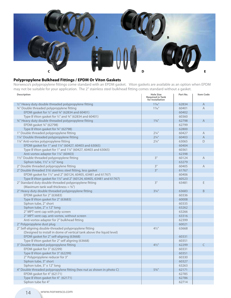

#### **Polypropylene Bulkhead Fittings / EPDM Or Viton Gaskets**

Norwesco's polypropylene fittings come standard with an EPDM gasket. Viton gaskets are available as an option when EPDM may not be suitable for your application. The 2" stainless steel bulkhead fitting comes standard without a gasket.

| <b>Description</b>                                                     | <b>Hole Size</b><br><b>Required in Tank</b><br>for Installation | Part No. | <b>Item Code</b> |
|------------------------------------------------------------------------|-----------------------------------------------------------------|----------|------------------|
| 1/2" Heavy duty double threaded polypropylene fitting                  | $1\%$ "                                                         | 62834    | $\overline{A}$   |
| 3/4" Double threaded polypropylene fitting                             | $1\frac{7}{16}$ "                                               | 60401    | $\overline{A}$   |
| EPDM gasket for 1/2" and 3/4" (62834 and 60401)                        |                                                                 | 60402    |                  |
| Type B Viton gasket for 1/2" and 3/4" (62834 and 60401)                |                                                                 | 60360    |                  |
| 3/4" Heavy duty double threaded polypropylene fitting                  | $15/8$ "                                                        | 62798    | $\overline{A}$   |
| EPDM gasket 3/4" (62798)                                               |                                                                 | 62799    |                  |
| Type B Viton gasket for 3/4" (62798)                                   |                                                                 | 62800    |                  |
| 1" Double threaded polypropylene fitting                               | $2\frac{1}{4}$ "                                                | 60427    | $\overline{A}$   |
| 11/4" Double threaded polypropylene fitting                            | $2\frac{1}{4}$ "                                                | 60403    | $\mathsf A$      |
| 11/4" Anti-vortex polypropylene fitting                                | $2\frac{1}{4}$ "                                                | 63065    | D                |
| EPDM gasket for 1" and 11/4" (60427, 60403 and 63065)                  |                                                                 | 60404    |                  |
| Type B Viton gasket for 1" and 1¼" (60427, 60403 and 63065)            |                                                                 | 60361    |                  |
| Anti-vortex adapter for 11/4" (60403)                                  |                                                                 | 62398    |                  |
| 11/2" Double threaded polypropylene fitting                            | 3"                                                              | 60124    | $\mathsf{A}$     |
| Siphon tube, 11/2" x 12" long                                          |                                                                 | 63279    |                  |
| 2" Double threaded polypropylene fitting                               | 3"                                                              | 60405    | A                |
| 2" Double threaded 316 stainless steel fitting, less gasket            | 3"                                                              | 61767    |                  |
| EPDM gasket for 11/2" and 2" (60124, 60405, 63481 and 61767)           |                                                                 | 60406    |                  |
| Type B Viton gasket for 11/2" and 2" (60124, 60405, 63481 and 61767)   |                                                                 | 60523    |                  |
| 2" Standard duty double threaded polypropylene fitting                 | 3"                                                              | 63481    | E                |
| (Maximum tank wall thickness = $\frac{3}{8}$ ")                        |                                                                 |          |                  |
| 2" Heavy duty double threaded polypropylene fitting                    | $3\frac{1}{4}$ "                                                | 63683    | B                |
| EPDM gasket for 2" (63683)                                             |                                                                 | 60336    |                  |
| Type B Viton gasket for 2" (63683)                                     |                                                                 | 60008    |                  |
| Siphon tube, 2" short                                                  |                                                                 | 60335    |                  |
| Siphon tube, 2" x 12" long                                             |                                                                 | 63262    |                  |
| 2" MPT vent cap with poly screen                                       |                                                                 | 63266    |                  |
| 2" MPT vent cap, anti-vortex, without screen                           |                                                                 | 63316    |                  |
| Anti-vortex adapter for 2" bulkhead fitting                            |                                                                 | 62399    |                  |
| 2" Polypropylene dust plug                                             |                                                                 | 60021    |                  |
| 2" Self-aligning double-threaded polypropylene fitting                 | $4\frac{1}{2}$ "                                                | 63668    |                  |
| (Designed to install in dome of vertical tank above the liquid level)  |                                                                 |          |                  |
| EPDM gasket for 2" self-aligning (63668)                               |                                                                 | 60331    |                  |
| Type B Viton gasket for 2" self aligning (63668)                       |                                                                 | 60351    |                  |
| 3" Double threaded polypropylene fitting                               | $4\frac{1}{2}$ "                                                | 62299    | $\mathsf{C}$     |
| EPDM gasket for 3" (62299)                                             |                                                                 | 60331    |                  |
| Type B Viton gasket for 3" (62299)                                     |                                                                 | 60351    |                  |
| 2" Polypropylene reducer for 3"                                        |                                                                 | 60330    |                  |
| Siphon tube, 3" short                                                  |                                                                 | 60327    |                  |
| Siphon tube, 3" x 12" long                                             |                                                                 | 63263    |                  |
| 4" Double threaded polypropylene fitting (hex nut as shown in photo C) | $5\frac{3}{4}$ "                                                | 62171    |                  |
| EPDM gasket for 4" (62171)                                             |                                                                 | 62785    |                  |
| Type B Viton gasket for 4" (62171)                                     |                                                                 | 62786    |                  |
| Siphon tube for 4"                                                     |                                                                 | 62714    |                  |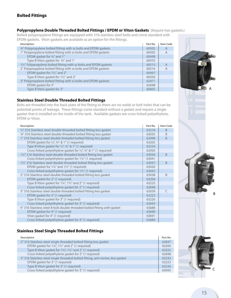### **Bolted Fittings**

**Polypropylene Double Threaded Bolted Fittings / EPDM or Viton Gaskets** (Require two gaskets.)

Bolted polypropylene fittings are equipped with 316 stainless steel bolts and come standard with EPDM gaskets. Viton gaskets are available as an option for the fittings.

| <b>Description</b>                                                         | Part No. | <b>Item Code</b> |
|----------------------------------------------------------------------------|----------|------------------|
| <sup>3/4</sup> Polypropylene bolted fitting with ss bolts and EPDM gaskets | 60502    | A                |
| 1" Polypropylene bolted fitting with ss bolts and EPDM gaskets             | 60505    | A                |
| EPDM gasket for 3/4" and 1"                                                | 60498    |                  |
| Type B Viton gasket for 3/4" and 1"                                        | 60355    |                  |
| 11/2" Polypropylene bolted fitting with ss bolts and EPDM gaskets          | 60513    | A                |
| 2" Polypropylene bolted fitting with ss bolts and EPDM gaskets             | 60516    | A                |
| EPDM gasket for 11/2" and 2"                                               | 60497    |                  |
| Type B Viton gasket for 11/2" and 2"                                       | 60356    |                  |
| 3" Polypropylene bolted fitting with ss bolts and EPDM gaskets             | 62471    |                  |
| EPDM gasket for 3"                                                         | 62048    |                  |
| Type B Viton gasket for 3"                                                 | 60602    |                  |

#### **Stainless Steel Double Threaded Bolted Fittings**

Bolts are threaded into the back plate of the fitting so there are no welds or bolt holes that can be potential points of leakage. These fittings come standard without a gasket and require a single gasket that is installed on the inside of the tank. Available gaskets are cross-linked polyethylene, EPDM or Viton.

| <b>Description</b>                                                          |       | <b>Item Code</b> |
|-----------------------------------------------------------------------------|-------|------------------|
| 1/2" 316 Stainless steel double threaded bolted fitting less gasket         | 63216 | B                |
| 34" 316 Stainless steel double threaded bolted fitting less gasket          | 63035 | B                |
| 1" 316 Stainless steel double threaded bolted fitting less gasket           | 62948 | <sub>R</sub>     |
| EPDM gasket for $\frac{1}{2}$ , $\frac{3}{4}$ , & 1" (1 required)           | 63205 |                  |
| Type B Viton gasket for $\frac{1}{2}$ , $\frac{3}{4}$ & 1" (1 required)     | 63224 |                  |
| Cross-linked polyethylene gasket for 1/2", 3/4" & 1" (1 required)           | 62950 |                  |
| 1¼" 316 Stainless steel double threaded bolted fitting less gasket          | 63036 | B                |
| Cross-linked polyethylene gasket for 1¼" (1 required)                       | 63041 |                  |
| 11/2" 316 Stainless steel double threaded bolted fitting less gasket        | 63037 | <sub>B</sub>     |
| EPDM gasket for $1\frac{1}{4}$ " and $1\frac{1}{2}$ " (1 required)          | 63426 |                  |
| Cross-linked polyethylene gasket for 1½" (1 required)                       | 63042 |                  |
| 2" 316 Stainless steel double threaded bolted fitting less gasket           | 63038 | B                |
| EPDM gasket for 2" (1 required)                                             | 63206 |                  |
| Type B Viton gasket for $1\frac{1}{4}$ , $1\frac{1}{2}$ and 2" (1 required) | 63225 |                  |
| Cross-linked polyethylene gasket for 2" (1 required)                        | 62848 |                  |
| 3" 316 Stainless steel double threaded bolted fitting less gasket           | 63039 | C                |
| EPDM gasket for 3" (1 required)                                             | 63223 |                  |
| Type B Viton gasket for 3" (1 required)                                     | 63226 |                  |
| Cross-linked polyethylene gasket for 3" (1 required)                        | 63043 |                  |
| 4" 316 Stainless steel 8-bolt double threaded bolted fitting with gasket    | 63688 |                  |
| EPDM gasket for 4" (1 required)                                             | 63690 |                  |
| Viton gasket for 4" (1 required)                                            | 63691 |                  |
| Cross-linked polyethylene gasket for 4" (1 required)                        | 63689 |                  |

#### **Stainless Steel Single Threaded Bolted Fittings**

| <b>Description</b>                                                              | Part No. |
|---------------------------------------------------------------------------------|----------|
| 2" 316 Stainless steel single threaded bolted fitting less gasket               | 62847    |
| EPDM gasket for $1\frac{1}{4}$ , $1\frac{1}{2}$ and 2" (1 required)             | 63206    |
| Type B Viton gasket for 11/4", 11/2" and 2" (1 required)                        | 63225    |
| Cross-linked polyethylene gasket for 2" (1 required)                            | 62848    |
| 3" 316 Stainless steel single threaded bolted fitting, anti-vortex, less gasket | 63233    |
| EPDM gasket for 3" (1 required)                                                 | 63223    |
| Type B Viton gasket for 3" (1 required)                                         | 63226    |
| Cross-linked polyethylene gasket for 3" (1 required)                            | 63043    |